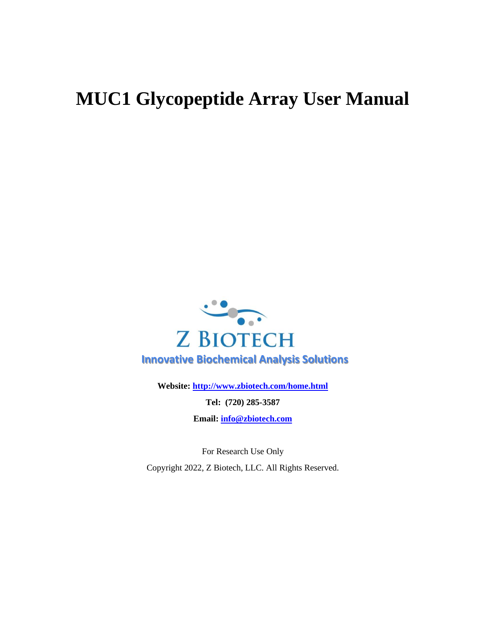# **MUC1 Glycopeptide Array User Manual**



**Website:<http://www.zbiotech.com/home.html>**

**Tel: (720) 285-3587**

**Email: [info@zbiotech.com](mailto:info@zbiotech.com)**

For Research Use Only Copyright 2022, Z Biotech, LLC. All Rights Reserved.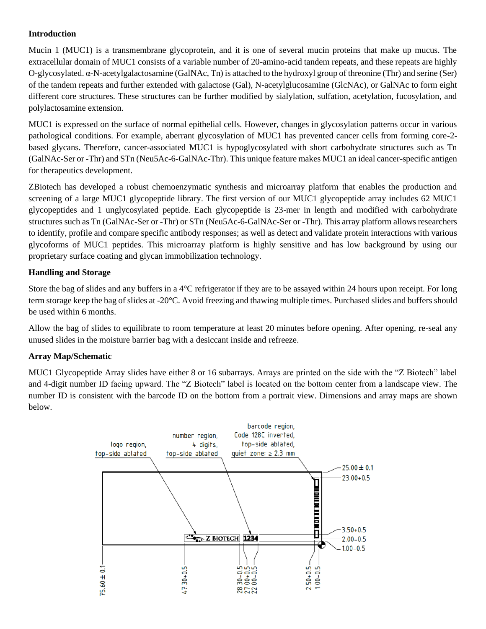#### **Introduction**

Mucin 1 (MUC1) is a transmembrane glycoprotein, and it is one of several mucin proteins that make up mucus. The extracellular domain of MUC1 consists of a variable number of 20-amino-acid tandem repeats, and these repeats are highly O-glycosylated. α-N-acetylgalactosamine (GalNAc, Tn) is attached to the hydroxyl group of threonine (Thr) and serine (Ser) of the tandem repeats and further extended with galactose (Gal), N-acetylglucosamine (GlcNAc), or GalNAc to form eight different core structures. These structures can be further modified by sialylation, sulfation, acetylation, fucosylation, and polylactosamine extension.

MUC1 is expressed on the surface of normal epithelial cells. However, changes in glycosylation patterns occur in various pathological conditions. For example, aberrant glycosylation of MUC1 has prevented cancer cells from forming core-2 based glycans. Therefore, cancer-associated MUC1 is hypoglycosylated with short carbohydrate structures such as Tn (GalNAc-Ser or -Thr) and STn (Neu5Ac-6-GalNAc-Thr). This unique feature makes MUC1 an ideal cancer-specific antigen for therapeutics development.

ZBiotech has developed a robust chemoenzymatic synthesis and microarray platform that enables the production and screening of a large MUC1 glycopeptide library. The first version of our MUC1 glycopeptide array includes 62 MUC1 glycopeptides and 1 unglycosylated peptide. Each glycopeptide is 23-mer in length and modified with carbohydrate structures such as Tn (GalNAc-Ser or -Thr) or STn (Neu5Ac-6-GalNAc-Ser or -Thr). This array platform allows researchers to identify, profile and compare specific antibody responses; as well as detect and validate protein interactions with various glycoforms of MUC1 peptides. This microarray platform is highly sensitive and has low background by using our proprietary surface coating and glycan immobilization technology.

#### **Handling and Storage**

Store the bag of slides and any buffers in a 4°C refrigerator if they are to be assayed within 24 hours upon receipt. For long term storage keep the bag of slides at -20°C. Avoid freezing and thawing multiple times. Purchased slides and buffers should be used within 6 months.

Allow the bag of slides to equilibrate to room temperature at least 20 minutes before opening. After opening, re-seal any unused slides in the moisture barrier bag with a desiccant inside and refreeze.

#### **Array Map/Schematic**

MUC1 Glycopeptide Array slides have either 8 or 16 subarrays. Arrays are printed on the side with the "Z Biotech" label and 4-digit number ID facing upward. The "Z Biotech" label is located on the bottom center from a landscape view. The number ID is consistent with the barcode ID on the bottom from a portrait view. Dimensions and array maps are shown below.

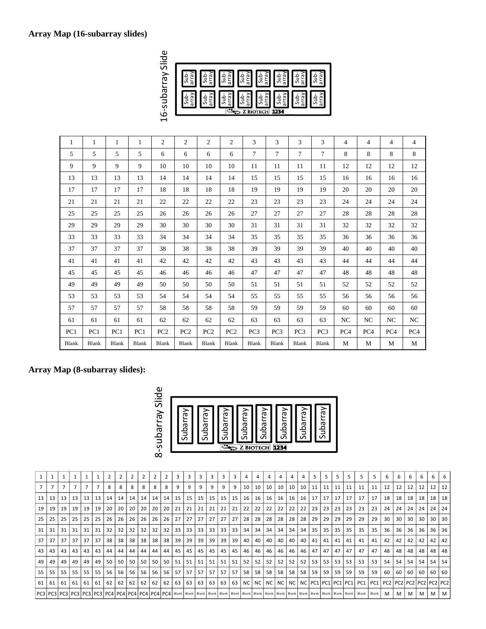# **Array Map (16-subarray slides)**



| 1     | 1     | 1     | $\mathbf{1}$ | 2               | 2               | $\overline{2}$  | 2               | 3               | 3               | 3               | 3               | 4               | 4               | $\overline{4}$ | $\overline{4}$  |
|-------|-------|-------|--------------|-----------------|-----------------|-----------------|-----------------|-----------------|-----------------|-----------------|-----------------|-----------------|-----------------|----------------|-----------------|
| 5     | 5     | 5     | 5            | 6               | 6               | 6               | 6               | $\tau$          | 7               | 7               | 7               | 8               | 8               | 8              | 8               |
| 9     | 9     | 9     | 9            | 10              | 10              | 10              | 10              | 11              | 11              | 11              | 11              | 12              | 12              | 12             | 12              |
| 13    | 13    | 13    | 13           | 14              | 14              | 14              | 14              | 15              | 15              | 15              | 15              | 16              | 16              | 16             | 16              |
| 17    | 17    | 17    | 17           | 18              | 18              | 18              | 18              | 19              | 19              | 19              | 19              | 20              | 20              | 20             | 20              |
| 21    | 21    | 21    | 21           | 22              | 22              | 22              | 22              | 23              | 23              | 23              | 23              | 24              | 24              | 24             | 24              |
| 25    | 25    | 25    | 25           | 26              | 26              | 26              | 26              | 27              | 27              | 27              | 27              | 28              | 28              | 28             | 28              |
| 29    | 29    | 29    | 29           | 30              | 30              | 30              | 30              | 31              | 31              | 31              | 31              | 32              | 32              | 32             | 32              |
| 33    | 33    | 33    | 33           | 34              | 34              | 34              | 34              | 35              | 35              | 35              | 35              | 36              | 36              | 36             | 36              |
| 37    | 37    | 37    | 37           | 38              | 38              | 38              | 38              | 39              | 39              | 39              | 39              | 40              | 40              | 40             | 40              |
| 41    | 41    | 41    | 41           | 42              | 42              | 42              | 42              | 43              | 43              | 43              | 43              | 44              | 44              | 44             | 44              |
| 45    | 45    | 45    | 45           | 46              | 46              | 46              | 46              | 47              | 47              | 47              | 47              | 48              | 48              | 48             | 48              |
| 49    | 49    | 49    | 49           | 50              | 50              | 50              | 50              | 51              | 51              | 51              | 51              | 52              | 52              | 52             | 52              |
| 53    | 53    | 53    | 53           | 54              | 54              | 54              | 54              | 55              | 55              | 55              | 55              | 56              | 56              | 56             | 56              |
| 57    | 57    | 57    | 57           | 58              | 58              | 58              | 58              | 59              | 59              | 59              | 59              | 60              | 60              | 60             | 60              |
| 61    | 61    | 61    | 61           | 62              | 62              | 62              | 62              | 63              | 63              | 63              | 63              | NC              | NC              | NC             | NC              |
| PC1   | PC1   | PC1   | PC1          | PC <sub>2</sub> | PC <sub>2</sub> | PC <sub>2</sub> | PC <sub>2</sub> | PC <sub>3</sub> | PC <sub>3</sub> | PC <sub>3</sub> | PC <sub>3</sub> | PC <sub>4</sub> | PC <sub>4</sub> | PC4            | PC <sub>4</sub> |
| Blank | Blank | Blank | Blank        | Blank           | Blank           | Blank           | Blank           | Blank           | Blank           | Blank           | <b>Blank</b>    | M               | M               | M              | M               |

#### **Array Map (8-subarray slides):**



|                 |    |    |    |    |    | 2  | $\overline{2}$ | 2  |    |    | $\overline{2}$ | 3  | 3  | 3  |     |    |     |    |       |    |    | 4         |    | 5  | 5  | 5  |                        |                                                                                                                                                                                                                              |       | 6                               | 6  | 6  | 6  |                 |     |
|-----------------|----|----|----|----|----|----|----------------|----|----|----|----------------|----|----|----|-----|----|-----|----|-------|----|----|-----------|----|----|----|----|------------------------|------------------------------------------------------------------------------------------------------------------------------------------------------------------------------------------------------------------------------|-------|---------------------------------|----|----|----|-----------------|-----|
|                 |    |    |    |    |    | 8  | 8              | 8  | 8  | 8  | 8              | 9  | 9  | 9  |     | 9  | 9   | 10 | 10    | 10 | 10 | 10        | 10 | 11 | 11 | 11 | -11                    | 11                                                                                                                                                                                                                           | 11    | 12                              | 12 | 12 | 12 | 12 <sup>1</sup> | 12  |
| 13              | 13 | 13 | 13 | 13 | 13 | 14 | 14             | 14 | 14 | 14 | 14             | 15 | 15 | 15 | 15  | 15 | 15  | 16 | 16    | 16 | 16 | 16        | 16 | 17 | 17 | 17 | 17                     | 17                                                                                                                                                                                                                           | 17    | 18                              | 18 | 18 | 18 | 18 I            | 18  |
| 19 <sup>1</sup> | 19 | 19 | 19 | 19 | 19 | 20 | 20             | 20 | 20 | 20 | 20             | 21 | 21 | 21 | 21  | 21 | 21  | 22 | 22    | 22 | 22 | 22        | 22 | 23 | 23 | 23 | 23                     | 23                                                                                                                                                                                                                           | 23    | 24                              | 24 | 24 | 24 | 24              | -24 |
| 25              | 25 | 25 | 25 | 25 | 25 | 26 | 26             | 26 | 26 | 26 | 26             | 27 | 27 | 27 | 27  | 27 | 27  | 28 | 28    | 28 | 28 | 28        | 28 | 29 | 29 | 29 | 29                     | 29                                                                                                                                                                                                                           | 29    | 30                              | 30 | 30 | 30 | 30              | 30  |
| 31              | 31 | 31 | 31 | 31 | 31 | 32 | 32             | 32 | 32 | 32 | 32             | 33 | 33 | 33 | 33  | 33 | 33  | 34 | 34    | 34 | 34 | 34        | 34 | 35 | 35 | 35 | 35                     | 35                                                                                                                                                                                                                           | 35    | 36                              | 36 | 36 | 36 | 36 I            | -36 |
| 37              | 37 | 37 | 37 | 37 | 37 | 38 | 38             | 38 | 38 | 38 | 38             | 39 | 39 | 39 | 39  | 39 | 39  | 40 | 40    | 40 | 40 | 40        | 40 | 41 | 41 | 41 | 41                     | 41                                                                                                                                                                                                                           | 41    | 42                              | 42 | 42 | 42 | 42              | 42  |
| 43              | 43 | 43 | 43 | 43 | 43 | 44 | 44             | 44 | 44 | 44 | 44             | 45 | 45 | 45 | 45  | 45 | 45  | 46 | 46    | 46 | 46 | 46        | 46 | 47 | 47 | 47 | 47                     | 47                                                                                                                                                                                                                           | 47    | 48                              | 48 | 48 | 48 | 48 48           |     |
| 49              | 49 | 49 | 49 | 49 | 49 | 50 | 50             | 50 | 50 | 50 | 50             | 51 | 51 | 51 | -51 | 51 | -51 | 52 | 52    | 52 | 52 | 52        | 52 | 53 | 53 | 53 | 53                     | 53                                                                                                                                                                                                                           | 53    | 54                              | 54 | 54 | 54 | <b>54</b>       | -54 |
| 55 l            | 55 | 55 | 55 | 55 | 55 | 56 | 56             | 56 | 56 | 56 | 56             | 57 | 57 | 57 | 57  | 57 | -57 | 58 | 58    | 58 | 58 | 58        | 58 | 59 | 59 | 59 | 59                     | 59                                                                                                                                                                                                                           | 59    | 60                              | 60 | 60 | 60 | 60 l            | 60  |
| 61              | 61 | 61 | 61 | 61 | 61 | 62 | 62             | 62 | 62 | 62 | 62             | 63 | 63 | 63 | 63  | 63 | 63  |    | NC NC |    |    | NCINCINCI |    |    |    |    | NC PC1 PC1 PC1 PC1 PC1 |                                                                                                                                                                                                                              |       | PC1 PC2 PC2 PC2 PC2 PC2 PC2 PC2 |    |    |    |                 |     |
|                 |    |    |    |    |    |    |                |    |    |    |                |    |    |    |     |    |     |    |       |    |    |           |    |    |    |    |                        | PC3   PC3   PC3   PC3   PC3   PC4   PC4   PC4   PC4   PC4   PC4   PC4   BLAN   Blank   Blank   Blank   Blank   Blank   Blank   Blank   Blank   Blank   Blank   Blank   Blank   Blank   Blank   Blank   Blank   Blank   Blank | Blank | M                               | M  | M  | M  | M               | M   |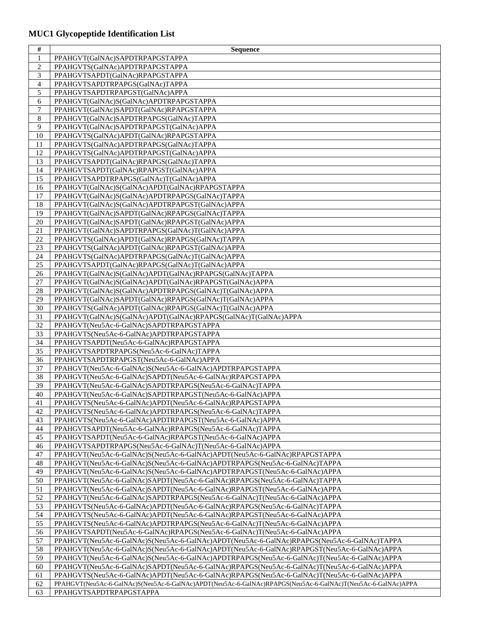# **MUC1 Glycopeptide Identification List**

| #              | <b>Sequence</b>                                                                                                        |
|----------------|------------------------------------------------------------------------------------------------------------------------|
| $\mathbf{1}$   | PPAHGVT(GalNAc)SAPDTRPAPGSTAPPA                                                                                        |
| $\overline{c}$ | PPAHGVTS(GalNAc)APDTRPAPGSTAPPA                                                                                        |
| 3              | PPAHGVTSAPDT(GalNAc)RPAPGSTAPPA                                                                                        |
| $\overline{4}$ | PPAHGVTSAPDTRPAPGS(GalNAc)TAPPA                                                                                        |
| 5              | PPAHGVTSAPDTRPAPGST(GalNAc)APPA                                                                                        |
| 6              | PPAHGVT(GalNAc)S(GalNAc)APDTRPAPGSTAPPA                                                                                |
| $\tau$         | PPAHGVT(GalNAc)SAPDT(GalNAc)RPAPGSTAPPA                                                                                |
| 8              | PPAHGVT(GalNAc)SAPDTRPAPGS(GalNAc)TAPPA                                                                                |
| 9              | PPAHGVT(GalNAc)SAPDTRPAPGST(GalNAc)APPA                                                                                |
| 10             | PPAHGVTS(GalNAc)APDT(GalNAc)RPAPGSTAPPA                                                                                |
| 11             | PPAHGVTS(GalNAc)APDTRPAPGS(GalNAc)TAPPA                                                                                |
| 12             | PPAHGVTS(GalNAc)APDTRPAPGST(GalNAc)APPA                                                                                |
| 13             | PPAHGVTSAPDT(GalNAc)RPAPGS(GalNAc)TAPPA                                                                                |
| 14             | PPAHGVTSAPDT(GalNAc)RPAPGST(GalNAc)APPA                                                                                |
| 15             | PPAHGVTSAPDTRPAPGS(GalNAc)T(GalNAc)APPA                                                                                |
| 16             | PPAHGVT(GalNAc)S(GalNAc)APDT(GalNAc)RPAPGSTAPPA                                                                        |
| 17             | PPAHGVT(GalNAc)S(GalNAc)APDTRPAPGS(GalNAc)TAPPA                                                                        |
| 18             | PPAHGVT(GalNAc)S(GalNAc)APDTRPAPGST(GalNAc)APPA                                                                        |
| 19             | PPAHGVT(GalNAc)SAPDT(GalNAc)RPAPGS(GalNAc)TAPPA                                                                        |
| 20             | PPAHGVT(GalNAc)SAPDT(GalNAc)RPAPGST(GalNAc)APPA                                                                        |
| $21\,$         | PPAHGVT(GalNAc)SAPDTRPAPGS(GalNAc)T(GalNAc)APPA                                                                        |
| 22             | PPAHGVTS(GalNAc)APDT(GalNAc)RPAPGS(GalNAc)TAPPA                                                                        |
| 23             | PPAHGVTS(GalNAc)APDT(GalNAc)RPAPGST(GalNAc)APPA                                                                        |
| 24             | PPAHGVTS(GalNAc)APDTRPAPGS(GalNAc)T(GalNAc)APPA                                                                        |
| 25             | PPAHGVTSAPDT(GalNAc)RPAPGS(GalNAc)T(GalNAc)APPA                                                                        |
| 26             | PPAHGVT(GalNAc)S(GalNAc)APDT(GalNAc)RPAPGS(GalNAc)TAPPA                                                                |
| 27             | PPAHGVT(GalNAc)S(GalNAc)APDT(GalNAc)RPAPGST(GalNAc)APPA                                                                |
| 28             | PPAHGVT(GalNAc)S(GalNAc)APDTRPAPGS(GalNAc)T(GalNAc)APPA                                                                |
| 29             | PPAHGVT(GalNAc)SAPDT(GalNAc)RPAPGS(GalNAc)T(GalNAc)APPA                                                                |
| 30             | PPAHGVTS(GalNAc)APDT(GalNAc)RPAPGS(GalNAc)T(GalNAc)APPA                                                                |
| 31             | PPAHGVT(GalNAc)S(GalNAc)APDT(GalNAc)RPAPGS(GalNAc)T(GalNAc)APPA                                                        |
| 32             | PPAHGVT(Neu5Ac-6-GalNAc)SAPDTRPAPGSTAPPA                                                                               |
| 33             | PPAHGVTS(Neu5Ac-6-GalNAc)APDTRPAPGSTAPPA                                                                               |
| 34             | PPAHGVTSAPDT(Neu5Ac-6-GalNAc)RPAPGSTAPPA                                                                               |
| 35             | PPAHGVTSAPDTRPAPGS(Neu5Ac-6-GalNAc)TAPPA                                                                               |
| 36             | PPAHGVTSAPDTRPAPGST(Neu5Ac-6-GalNAc)APPA                                                                               |
| 37             | PPAHGVT(Neu5Ac-6-GalNAc)S(Neu5Ac-6-GalNAc)APDTRPAPGSTAPPA                                                              |
| 38             | PPAHGVT(Neu5Ac-6-GalNAc)SAPDT(Neu5Ac-6-GalNAc)RPAPGSTAPPA                                                              |
| 39<br>40       | PPAHGVT(Neu5Ac-6-GalNAc)SAPDTRPAPGS(Neu5Ac-6-GalNAc)TAPPA                                                              |
|                | PPAHGVT(Neu5Ac-6-GalNAc)SAPDTRPAPGST(Neu5Ac-6-GalNAc)APPA                                                              |
| 41<br>42       | PPAHGVTS(Neu5Ac-6-GalNAc)APDT(Neu5Ac-6-GalNAc)RPAPGSTAPPA                                                              |
| 43             | PPAHGVTS(Neu5Ac-6-GalNAc)APDTRPAPGS(Neu5Ac-6-GalNAc)TAPPA<br>PPAHGVTS(Neu5Ac-6-GalNAc)APDTRPAPGST(Neu5Ac-6-GalNAc)APPA |
| 44             | PPAHGVTSAPDT(Neu5Ac-6-GalNAc)RPAPGS(Neu5Ac-6-GalNAc)TAPPA                                                              |
| 45             | PPAHGVTSAPDT(Neu5Ac-6-GalNAc)RPAPGST(Neu5Ac-6-GalNAc)APPA                                                              |
| 46             | PPAHGVTSAPDTRPAPGS(Neu5Ac-6-GalNAc)T(Neu5Ac-6-GalNAc)APPA                                                              |
| 47             | PPAHGVT(Neu5Ac-6-GalNAc)S(Neu5Ac-6-GalNAc)APDT(Neu5Ac-6-GalNAc)RPAPGSTAPPA                                             |
| 48             | PPAHGVT(Neu5Ac-6-GalNAc)S(Neu5Ac-6-GalNAc)APDTRPAPGS(Neu5Ac-6-GalNAc)TAPPA                                             |
| 49             | PPAHGVT(Neu5Ac-6-GalNAc)S(Neu5Ac-6-GalNAc)APDTRPAPGST(Neu5Ac-6-GalNAc)APPA                                             |
| 50             | PPAHGVT(Neu5Ac-6-GalNAc)SAPDT(Neu5Ac-6-GalNAc)RPAPGS(Neu5Ac-6-GalNAc)TAPPA                                             |
| 51             | PPAHGVT(Neu5Ac-6-GalNAc)SAPDT(Neu5Ac-6-GalNAc)RPAPGST(Neu5Ac-6-GalNAc)APPA                                             |
| 52             | PPAHGVT(Neu5Ac-6-GalNAc)SAPDTRPAPGS(Neu5Ac-6-GalNAc)T(Neu5Ac-6-GalNAc)APPA                                             |
| 53             | PPAHGVTS(Neu5Ac-6-GalNAc)APDT(Neu5Ac-6-GalNAc)RPAPGS(Neu5Ac-6-GalNAc)TAPPA                                             |
| 54             | PPAHGVTS(Neu5Ac-6-GalNAc)APDT(Neu5Ac-6-GalNAc)RPAPGST(Neu5Ac-6-GalNAc)APPA                                             |
| 55             | PPAHGVTS(Neu5Ac-6-GalNAc)APDTRPAPGS(Neu5Ac-6-GalNAc)T(Neu5Ac-6-GalNAc)APPA                                             |
| 56             | PPAHGVTSAPDT(Neu5Ac-6-GalNAc)RPAPGS(Neu5Ac-6-GalNAc)T(Neu5Ac-6-GalNAc)APPA                                             |
| 57             | PPAHGVT(Neu5Ac-6-GalNAc)S(Neu5Ac-6-GalNAc)APDT(Neu5Ac-6-GalNAc)RPAPGS(Neu5Ac-6-GalNAc)TAPPA                            |
| 58             | PPAHGVT(Neu5Ac-6-GalNAc)S(Neu5Ac-6-GalNAc)APDT(Neu5Ac-6-GalNAc)RPAPGST(Neu5Ac-6-GalNAc)APPA                            |
| 59             | PPAHGVT(Neu5Ac-6-GalNAc)S(Neu5Ac-6-GalNAc)APDTRPAPGS(Neu5Ac-6-GalNAc)T(Neu5Ac-6-GalNAc)APPA                            |
| 60             | PPAHGVT(Neu5Ac-6-GalNAc)SAPDT(Neu5Ac-6-GalNAc)RPAPGS(Neu5Ac-6-GalNAc)T(Neu5Ac-6-GalNAc)APPA                            |
| 61             | PPAHGVTS(Neu5Ac-6-GalNAc)APDT(Neu5Ac-6-GalNAc)RPAPGS(Neu5Ac-6-GalNAc)T(Neu5Ac-6-GalNAc)APPA                            |
| 62             | PPAHGVT(Neu5Ac-6-GalNAc)S(Neu5Ac-6-GalNAc)APDT(Neu5Ac-6-GalNAc)RPAPGS(Neu5Ac-6-GalNAc)T(Neu5Ac-6-GalNAc)APPA           |
| 63             | PPAHGVTSAPDTRPAPGSTAPPA                                                                                                |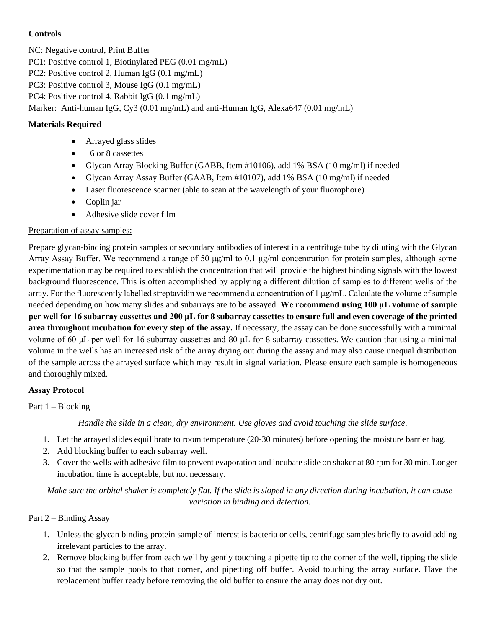#### **Controls**

NC: Negative control, Print Buffer

PC1: Positive control 1, Biotinylated PEG (0.01 mg/mL)

PC2: Positive control 2, Human IgG (0.1 mg/mL)

PC3: Positive control 3, Mouse IgG (0.1 mg/mL)

PC4: Positive control 4, Rabbit IgG (0.1 mg/mL)

Marker: Anti-human IgG, Cy3 (0.01 mg/mL) and anti-Human IgG, Alexa647 (0.01 mg/mL)

### **Materials Required**

- Arrayed glass slides
- 16 or 8 cassettes
- Glycan Array Blocking Buffer (GABB, Item #10106), add 1% BSA (10 mg/ml) if needed
- Glycan Array Assay Buffer (GAAB, Item #10107), add 1% BSA (10 mg/ml) if needed
- Laser fluorescence scanner (able to scan at the wavelength of your fluorophore)
- Coplin jar
- Adhesive slide cover film

#### Preparation of assay samples:

Prepare glycan-binding protein samples or secondary antibodies of interest in a centrifuge tube by diluting with the Glycan Array Assay Buffer. We recommend a range of 50  $\mu$ g/ml to 0.1  $\mu$ g/ml concentration for protein samples, although some experimentation may be required to establish the concentration that will provide the highest binding signals with the lowest background fluorescence. This is often accomplished by applying a different dilution of samples to different wells of the array. For the fluorescently labelled streptavidin we recommend a concentration of 1 μg/mL. Calculate the volume of sample needed depending on how many slides and subarrays are to be assayed. **We recommend using 100 μL volume of sample per well for 16 subarray cassettes and 200 μL for 8 subarray cassettes to ensure full and even coverage of the printed area throughout incubation for every step of the assay.** If necessary, the assay can be done successfully with a minimal volume of 60 μL per well for 16 subarray cassettes and 80 μL for 8 subarray cassettes. We caution that using a minimal volume in the wells has an increased risk of the array drying out during the assay and may also cause unequal distribution of the sample across the arrayed surface which may result in signal variation. Please ensure each sample is homogeneous and thoroughly mixed.

#### **Assay Protocol**

#### Part 1 – Blocking

*Handle the slide in a clean, dry environment. Use gloves and avoid touching the slide surface.*

- 1. Let the arrayed slides equilibrate to room temperature (20-30 minutes) before opening the moisture barrier bag.
- 2. Add blocking buffer to each subarray well.
- 3. Cover the wells with adhesive film to prevent evaporation and incubate slide on shaker at 80 rpm for 30 min. Longer incubation time is acceptable, but not necessary.

*Make sure the orbital shaker is completely flat. If the slide is sloped in any direction during incubation, it can cause variation in binding and detection.*

#### Part 2 – Binding Assay

- 1. Unless the glycan binding protein sample of interest is bacteria or cells, centrifuge samples briefly to avoid adding irrelevant particles to the array.
- 2. Remove blocking buffer from each well by gently touching a pipette tip to the corner of the well, tipping the slide so that the sample pools to that corner, and pipetting off buffer. Avoid touching the array surface. Have the replacement buffer ready before removing the old buffer to ensure the array does not dry out.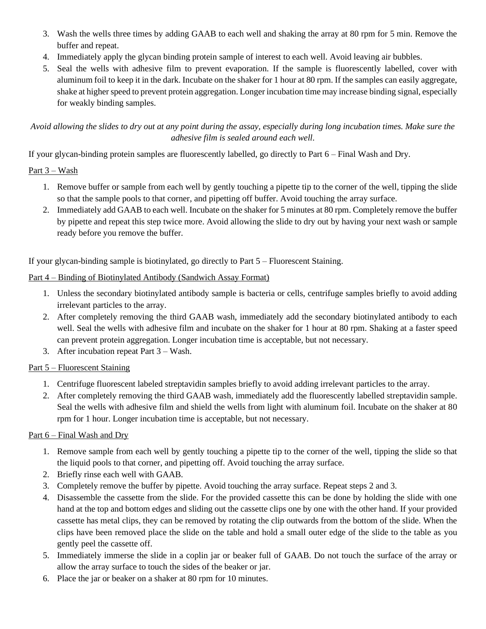- 3. Wash the wells three times by adding GAAB to each well and shaking the array at 80 rpm for 5 min. Remove the buffer and repeat.
- 4. Immediately apply the glycan binding protein sample of interest to each well. Avoid leaving air bubbles.
- 5. Seal the wells with adhesive film to prevent evaporation. If the sample is fluorescently labelled, cover with aluminum foil to keep it in the dark. Incubate on the shaker for 1 hour at 80 rpm. If the samples can easily aggregate, shake at higher speed to prevent protein aggregation. Longer incubation time may increase binding signal, especially for weakly binding samples.

#### *Avoid allowing the slides to dry out at any point during the assay, especially during long incubation times. Make sure the adhesive film is sealed around each well.*

If your glycan-binding protein samples are fluorescently labelled, go directly to Part 6 – Final Wash and Dry.

#### Part 3 – Wash

- 1. Remove buffer or sample from each well by gently touching a pipette tip to the corner of the well, tipping the slide so that the sample pools to that corner, and pipetting off buffer. Avoid touching the array surface.
- 2. Immediately add GAAB to each well. Incubate on the shaker for 5 minutes at 80 rpm. Completely remove the buffer by pipette and repeat this step twice more. Avoid allowing the slide to dry out by having your next wash or sample ready before you remove the buffer.

If your glycan-binding sample is biotinylated, go directly to Part 5 – Fluorescent Staining.

#### Part 4 – Binding of Biotinylated Antibody (Sandwich Assay Format)

- 1. Unless the secondary biotinylated antibody sample is bacteria or cells, centrifuge samples briefly to avoid adding irrelevant particles to the array.
- 2. After completely removing the third GAAB wash, immediately add the secondary biotinylated antibody to each well. Seal the wells with adhesive film and incubate on the shaker for 1 hour at 80 rpm. Shaking at a faster speed can prevent protein aggregation. Longer incubation time is acceptable, but not necessary.
- 3. After incubation repeat Part 3 Wash.

# Part 5 – Fluorescent Staining

- 1. Centrifuge fluorescent labeled streptavidin samples briefly to avoid adding irrelevant particles to the array.
- 2. After completely removing the third GAAB wash, immediately add the fluorescently labelled streptavidin sample. Seal the wells with adhesive film and shield the wells from light with aluminum foil. Incubate on the shaker at 80 rpm for 1 hour. Longer incubation time is acceptable, but not necessary.

# Part 6 – Final Wash and Dry

- 1. Remove sample from each well by gently touching a pipette tip to the corner of the well, tipping the slide so that the liquid pools to that corner, and pipetting off. Avoid touching the array surface.
- 2. Briefly rinse each well with GAAB.
- 3. Completely remove the buffer by pipette. Avoid touching the array surface. Repeat steps 2 and 3.
- 4. Disassemble the cassette from the slide. For the provided cassette this can be done by holding the slide with one hand at the top and bottom edges and sliding out the cassette clips one by one with the other hand. If your provided cassette has metal clips, they can be removed by rotating the clip outwards from the bottom of the slide. When the clips have been removed place the slide on the table and hold a small outer edge of the slide to the table as you gently peel the cassette off.
- 5. Immediately immerse the slide in a coplin jar or beaker full of GAAB. Do not touch the surface of the array or allow the array surface to touch the sides of the beaker or jar.
- 6. Place the jar or beaker on a shaker at 80 rpm for 10 minutes.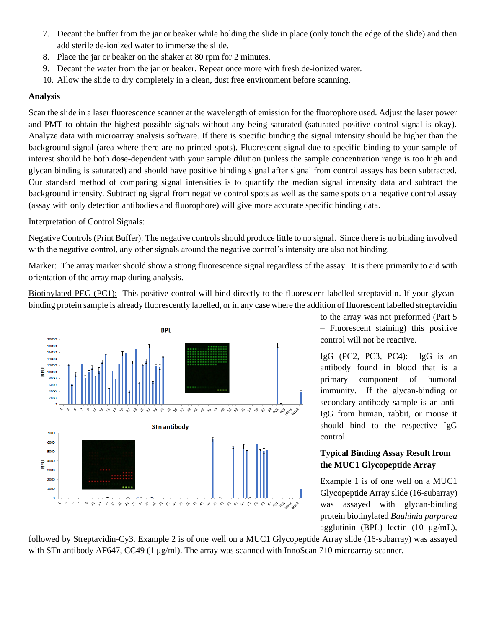- 7. Decant the buffer from the jar or beaker while holding the slide in place (only touch the edge of the slide) and then add sterile de-ionized water to immerse the slide.
- 8. Place the jar or beaker on the shaker at 80 rpm for 2 minutes.
- 9. Decant the water from the jar or beaker. Repeat once more with fresh de-ionized water.
- 10. Allow the slide to dry completely in a clean, dust free environment before scanning.

#### **Analysis**

Scan the slide in a laser fluorescence scanner at the wavelength of emission for the fluorophore used. Adjust the laser power and PMT to obtain the highest possible signals without any being saturated (saturated positive control signal is okay). Analyze data with microarray analysis software. If there is specific binding the signal intensity should be higher than the background signal (area where there are no printed spots). Fluorescent signal due to specific binding to your sample of interest should be both dose-dependent with your sample dilution (unless the sample concentration range is too high and glycan binding is saturated) and should have positive binding signal after signal from control assays has been subtracted. Our standard method of comparing signal intensities is to quantify the median signal intensity data and subtract the background intensity. Subtracting signal from negative control spots as well as the same spots on a negative control assay (assay with only detection antibodies and fluorophore) will give more accurate specific binding data.

Interpretation of Control Signals:

Negative Controls (Print Buffer): The negative controlsshould produce little to no signal. Since there is no binding involved with the negative control, any other signals around the negative control's intensity are also not binding.

Marker: The array marker should show a strong fluorescence signal regardless of the assay. It is there primarily to aid with orientation of the array map during analysis.

Biotinylated PEG (PC1): This positive control will bind directly to the fluorescent labelled streptavidin. If your glycanbinding protein sample is already fluorescently labelled, or in any case where the addition of fluorescent labelled streptavidin



to the array was not preformed (Part 5 – Fluorescent staining) this positive control will not be reactive.

IgG (PC2, PC3, PC4): IgG is an antibody found in blood that is a primary component of humoral immunity. If the glycan-binding or secondary antibody sample is an anti-IgG from human, rabbit, or mouse it should bind to the respective IgG control.

#### **Typical Binding Assay Result from the MUC1 Glycopeptide Array**

Example 1 is of one well on a MUC1 Glycopeptide Array slide (16-subarray) was assayed with glycan-binding protein biotinylated *Bauhinia purpurea* agglutinin (BPL) lectin (10 μg/mL),

followed by Streptavidin-Cy3. Example 2 is of one well on a MUC1 Glycopeptide Array slide (16-subarray) was assayed with STn antibody AF647, CC49 (1 μg/ml). The array was scanned with InnoScan 710 microarray scanner.